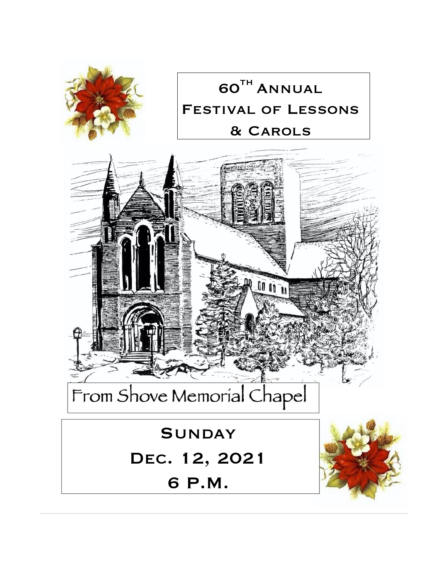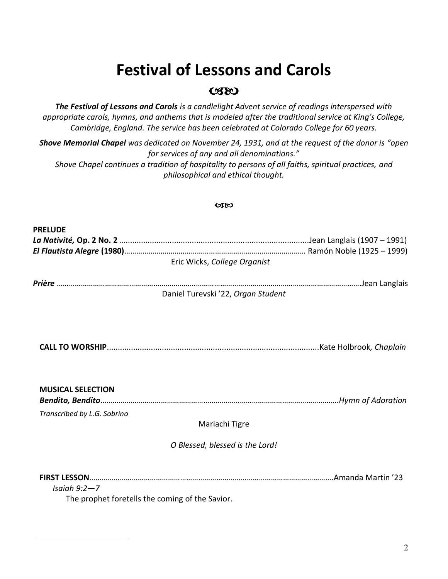# **Festival of Lessons and Carols**

## $C380$

*The Festival of Lessons and Carols is a candlelight Advent service of readings interspersed with appropriate carols, hymns, and anthems that is modeled after the traditional service at King's College, Cambridge, England. The service has been celebrated at Colorado College for 60 years.*

*Shove Memorial Chapel was dedicated on November 24, 1931, and at the request of the donor is "open for services of any and all denominations." Shove Chapel continues a tradition of hospitality to persons of all faiths, spiritual practices, and philosophical and ethical thought.*

#### **CSEO**

| <b>PRELUDE</b>              |                                                 |  |
|-----------------------------|-------------------------------------------------|--|
|                             |                                                 |  |
|                             |                                                 |  |
|                             | Eric Wicks, College Organist                    |  |
|                             |                                                 |  |
|                             |                                                 |  |
|                             | Daniel Turevski '22, Organ Student              |  |
|                             |                                                 |  |
|                             |                                                 |  |
|                             |                                                 |  |
|                             |                                                 |  |
|                             |                                                 |  |
|                             |                                                 |  |
|                             |                                                 |  |
|                             |                                                 |  |
| <b>MUSICAL SELECTION</b>    |                                                 |  |
|                             |                                                 |  |
| Transcribed by L.G. Sobrino |                                                 |  |
|                             | Mariachi Tigre                                  |  |
|                             |                                                 |  |
|                             | O Blessed, blessed is the Lord!                 |  |
|                             |                                                 |  |
|                             |                                                 |  |
| Isaiah $9:2-7$              |                                                 |  |
|                             | The prophet foretells the coming of the Savior. |  |
|                             |                                                 |  |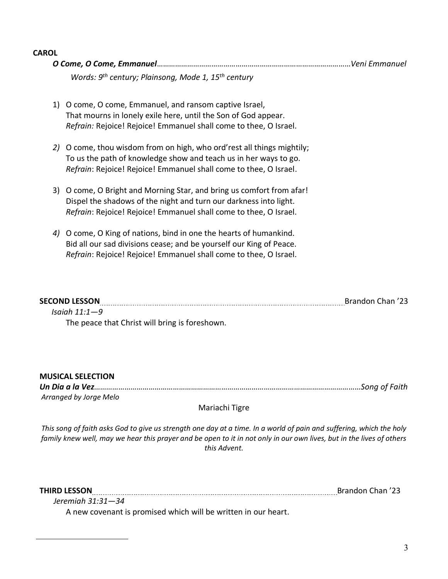#### **CAROL**

| Words: 9 <sup>th</sup> century; Plainsong, Mode 1, 15 <sup>th</sup> century                                                                                                                                        |                  |  |
|--------------------------------------------------------------------------------------------------------------------------------------------------------------------------------------------------------------------|------------------|--|
| O come, O come, Emmanuel, and ransom captive Israel,<br>1)<br>That mourns in lonely exile here, until the Son of God appear.<br>Refrain: Rejoice! Rejoice! Emmanuel shall come to thee, O Israel.                  |                  |  |
| O come, thou wisdom from on high, who ord'rest all things mightily;<br>2)<br>To us the path of knowledge show and teach us in her ways to go.<br>Refrain: Rejoice! Rejoice! Emmanuel shall come to thee, O Israel. |                  |  |
| O come, O Bright and Morning Star, and bring us comfort from afar!<br>3)<br>Dispel the shadows of the night and turn our darkness into light.<br>Refrain: Rejoice! Rejoice! Emmanuel shall come to thee, O Israel. |                  |  |
| O come, O King of nations, bind in one the hearts of humankind.<br>4)<br>Bid all our sad divisions cease; and be yourself our King of Peace.<br>Refrain: Rejoice! Rejoice! Emmanuel shall come to thee, O Israel.  |                  |  |
|                                                                                                                                                                                                                    |                  |  |
| <b>SECOND LESSON</b>                                                                                                                                                                                               | Brandon Chan '23 |  |

 *Isaiah 11:1—9*  The peace that Christ will bring is foreshown.

#### **MUSICAL SELECTION**

*Un Dia a la Vez……………………………………………………………………………………………………………………Song of Faith Arranged by Jorge Melo*

### Mariachi Tigre

*This song of faith asks God to give us strength one day at a time. In a world of pain and suffering, which the holy family knew well, may we hear this prayer and be open to it in not only in our own lives, but in the lives of others this Advent.*

 *Jeremiah 31:31—34* 

THIRD LESSON **EXAMPLE 23** Brandon Chan '23

A new covenant is promised which will be written in our heart.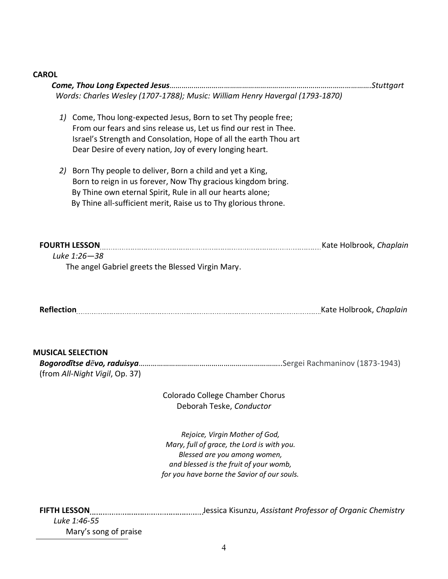#### **CAROL**

|                                                            | Words: Charles Wesley (1707-1788); Music: William Henry Havergal (1793-1870)                                                                                                                                                                                          |  |
|------------------------------------------------------------|-----------------------------------------------------------------------------------------------------------------------------------------------------------------------------------------------------------------------------------------------------------------------|--|
|                                                            | 1) Come, Thou long-expected Jesus, Born to set Thy people free;<br>From our fears and sins release us, Let us find our rest in Thee.<br>Israel's Strength and Consolation, Hope of all the earth Thou art<br>Dear Desire of every nation, Joy of every longing heart. |  |
| 2)                                                         | Born Thy people to deliver, Born a child and yet a King,<br>Born to reign in us forever, Now Thy gracious kingdom bring.<br>By Thine own eternal Spirit, Rule in all our hearts alone;<br>By Thine all-sufficient merit, Raise us to Thy glorious throne.             |  |
| Luke 1:26-38                                               | FOURTH LESSON [100] Kate Holbrook, Chaplain<br>The angel Gabriel greets the Blessed Virgin Mary.                                                                                                                                                                      |  |
|                                                            | Reflection [100] Neflection [201] Neflection [201] Neflection [201] Nate Holbrook, Chaplain                                                                                                                                                                           |  |
| <b>MUSICAL SELECTION</b><br>(from All-Night Vigil, Op. 37) |                                                                                                                                                                                                                                                                       |  |
|                                                            | Colorado College Chamber Chorus<br>Deborah Teske, Conductor                                                                                                                                                                                                           |  |
|                                                            | Rejoice, Virgin Mother of God,<br>Mary, full of grace, the Lord is with you.<br>Placcad are vou among waman                                                                                                                                                           |  |

*Blessed are you among women, and blessed is the fruit of your womb, for you have borne the Savior of our souls.*

**FIFTH LESSON** Jessica Kisunzu, *Assistant Professor of Organic Chemistry Luke 1:46-55*

Mary's song of praise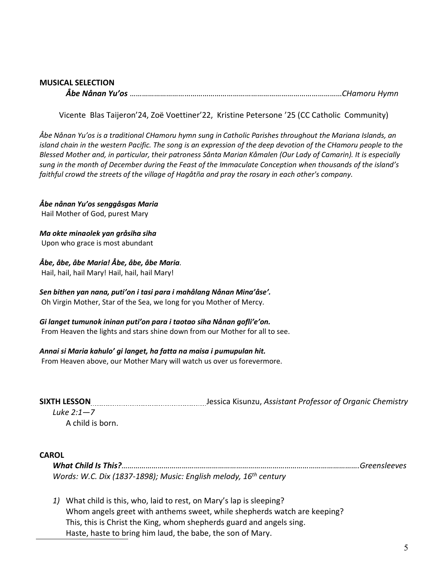#### **MUSICAL SELECTION**  *Åbe Nånan Yu'os* ……………………………………………………………………………………………*CHamoru Hymn*

Vicente Blas Taijeron'24, Zoë Voettiner'22, Kristine Petersone '25 (CC Catholic Community)

*Åbe Nånan Yu'os is a traditional CHamoru hymn sung in Catholic Parishes throughout the Mariana Islands, an island chain in the western Pacific. The song is an expression of the deep devotion of the CHamoru people to the Blessed Mother and, in particular, their patroness Sånta Marian Kåmalen (Our Lady of Camarin). It is especially sung in the month of December during the Feast of the Immaculate Conception when thousands of the island's faithful crowd the streets of the village of Hagåtña and pray the rosary in each other's company.*

*Åbe nånan Yu'os senggåsgas Maria* Hail Mother of God, purest Mary

*Ma okte minaolek yan gråsiha siha* Upon who grace is most abundant

*Åbe, åbe, åbe Maria! Åbe, åbe, åbe Maria.* Hail, hail, hail Mary! Hail, hail, hail Mary!

*Sen bithen yan nana, puti'on i tasi para i mahålang Nånan Mina'åse'.* Oh Virgin Mother, Star of the Sea, we long for you Mother of Mercy.

*Gi langet tumunok ininan puti'on para i taotao siha Nånan gofli'e'on.* From Heaven the lights and stars shine down from our Mother for all to see.

#### *Annai si Maria kahulo' gi langet, ha fatta na maisa i pumupulan hit.*

From Heaven above, our Mother Mary will watch us over us forevermore.

**SIXTH LESSON** [*CON]*[*CON]*[*CON]*[*CON]*[*CONDUSION]*[*CONDUSION]*[*CONDUSION]*[*CONDUSION*][*CONDUSION*]

*Luke 2:1—7* 

A child is born.

#### **CAROL**

*What Child Is This?……………………………………………………………………………………………………….Greensleeves Words: W.C. Dix (1837-1898); Music: English melody, 16th century*

*1)* What child is this, who, laid to rest, on Mary's lap is sleeping? Whom angels greet with anthems sweet, while shepherds watch are keeping? This, this is Christ the King, whom shepherds guard and angels sing. Haste, haste to bring him laud, the babe, the son of Mary.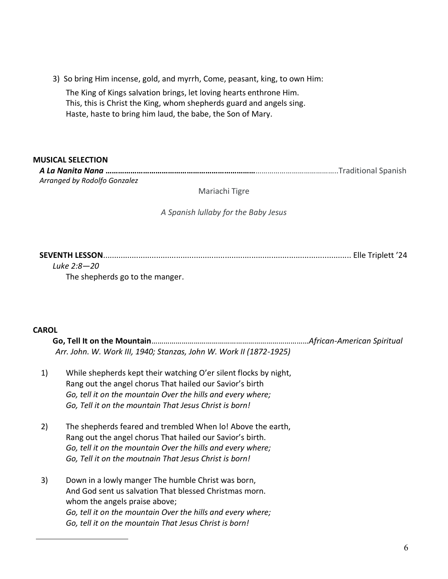3) So bring Him incense, gold, and myrrh, Come, peasant, king, to own Him:

The King of Kings salvation brings, let loving hearts enthrone Him. This, this is Christ the King, whom shepherds guard and angels sing. Haste, haste to bring him laud, the babe, the Son of Mary.

#### **MUSICAL SELECTION**

*A La Nanita Nana* **………………………………………………………………**…………………………………..Traditional Spanish *Arranged by Rodolfo Gonzalez*

Mariachi Tigre

*A Spanish lullaby for the Baby Jesus*

**SEVENTH LESSON**................................................................................................................ Elle Triplett '24

*Luke 2:8—20*  The shepherds go to the manger.

### **CAROL**

|    |                                                                                                                                                                                                                                                                        | African-American Spiritual |
|----|------------------------------------------------------------------------------------------------------------------------------------------------------------------------------------------------------------------------------------------------------------------------|----------------------------|
|    | Arr. John. W. Work III, 1940; Stanzas, John W. Work II (1872-1925)                                                                                                                                                                                                     |                            |
| 1) | While shepherds kept their watching O'er silent flocks by night,<br>Rang out the angel chorus That hailed our Savior's birth<br>Go, tell it on the mountain Over the hills and every where;<br>Go, Tell it on the mountain That Jesus Christ is born!                  |                            |
| 2) | The shepherds feared and trembled When lo! Above the earth,<br>Rang out the angel chorus That hailed our Savior's birth.<br>Go, tell it on the mountain Over the hills and every where;<br>Go, Tell it on the moutnain That Jesus Christ is born!                      |                            |
| 3) | Down in a lowly manger The humble Christ was born,<br>And God sent us salvation That blessed Christmas morn.<br>whom the angels praise above;<br>Go, tell it on the mountain Over the hills and every where;<br>Go, tell it on the mountain That Jesus Christ is born! |                            |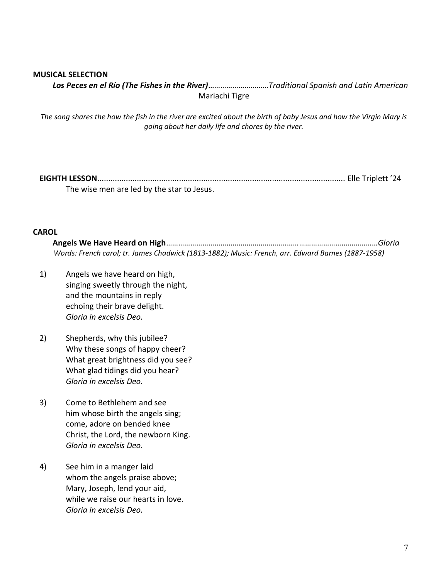#### **MUSICAL SELECTION**

*Los Peces en el Río (The Fishes in the River)*…………………………*Traditional Spanish and Latin American* Mariachi Tigre

*The song shares the how the fish in the river are excited about the birth of baby Jesus and how the Virgin Mary is going about her daily life and chores by the river.*

**EIGHTH LESSON**................................................................................................................ Elle Triplett '24 The wise men are led by the star to Jesus.

#### **CAROL**

**Angels We Have Heard on High**……………………………………………………………………………………………*Gloria* *Words: French carol; tr. James Chadwick (1813-1882); Music: French, arr. Edward Barnes (1887-1958)*

- 1) Angels we have heard on high, singing sweetly through the night, and the mountains in reply echoing their brave delight. *Gloria in excelsis Deo.*
- 2) Shepherds, why this jubilee? Why these songs of happy cheer? What great brightness did you see? What glad tidings did you hear? *Gloria in excelsis Deo.*
- 3) Come to Bethlehem and see him whose birth the angels sing; come, adore on bended knee Christ, the Lord, the newborn King. *Gloria in excelsis Deo.*
- 4) See him in a manger laid whom the angels praise above; Mary, Joseph, lend your aid, while we raise our hearts in love. *Gloria in excelsis Deo.*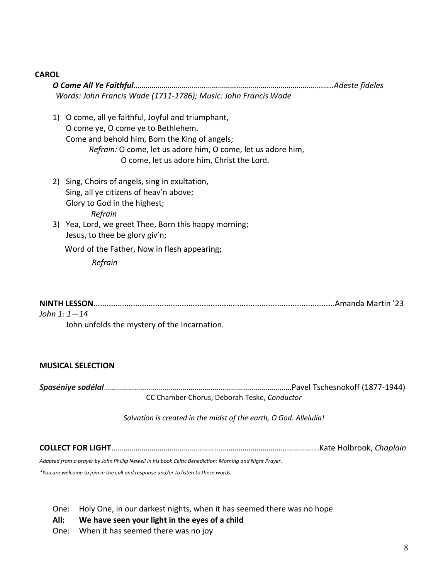#### **CAROL**

*O Come All Ye Faithful………………………………………………………………………………….…..Adeste fideles Words: John Francis Wade (1711-1786); Music: John Francis Wade* 1) O come, all ye faithful, Joyful and triumphant, O come ye, O come ye to Bethlehem. Come and behold him, Born the King of angels; *Refrain:* O come, let us adore him, O come, let us adore him, O come, let us adore him, Christ the Lord. 2) Sing, Choirs of angels, sing in exultation, Sing, all ye citizens of heav'n above; Glory to God in the highest; *Refrain* 3) Yea, Lord, we greet Thee, Born this happy morning; Jesus, to thee be glory giv'n; Word of the Father, Now in flesh appearing; *Refrain*

| John 1: 1—14 |  |
|--------------|--|

John unfolds the mystery of the Incarnation.

### **MUSICAL SELECTION**

*Spaséniye sodélal*…………………………………………………………………………………Pavel Tschesnokoff (1877-1944)

CC Chamber Chorus, Deborah Teske, *Conductor*

*Salvation is created in the midst of the earth, O God. Allelulia!* 

**COLLECT FOR LIGHT**………………………………………………………………………………………….Kate Holbrook, *Chaplain*

*Adapted from a prayer by John Phillip Newell in his book Celtic Benediction: Morning and Night Prayer.*

*\*You are welcome to join in the call and response and/or to listen to these words.*

One: Holy One, in our darkest nights, when it has seemed there was no hope

**All: We have seen your light in the eyes of a child**

One: When it has seemed there was no joy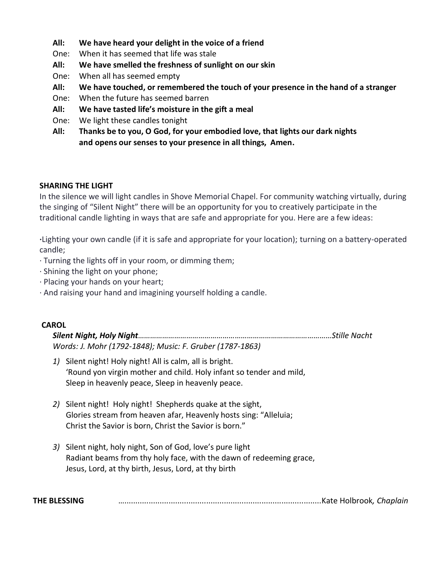#### **All: We have heard your delight in the voice of a friend**

- One: When it has seemed that life was stale
- **All: We have smelled the freshness of sunlight on our skin**
- One: When all has seemed empty
- **All: We have touched, or remembered the touch of your presence in the hand of a stranger**
- One: When the future has seemed barren
- **All: We have tasted life's moisture in the gift a meal**
- One: We light these candles tonight
- **All: Thanks be to you, O God, for your embodied love, that lights our dark nights and opens our senses to your presence in all things, Amen.**

#### **SHARING THE LIGHT**

In the silence we will light candles in Shove Memorial Chapel. For community watching virtually, during the singing of "Silent Night" there will be an opportunity for you to creatively participate in the traditional candle lighting in ways that are safe and appropriate for you. Here are a few ideas:

**·**Lighting your own candle (if it is safe and appropriate for your location); turning on a battery-operated candle;

- · Turning the lights off in your room, or dimming them;
- · Shining the light on your phone;
- · Placing your hands on your heart;
- · And raising your hand and imagining yourself holding a candle.

#### **CAROL**

*Silent Night, Holy Night……………………………………………………………………………………Stille Nacht Words: J. Mohr (1792-1848); Music: F. Gruber (1787-1863)*

- *1)* Silent night! Holy night! All is calm, all is bright. 'Round yon virgin mother and child. Holy infant so tender and mild, Sleep in heavenly peace, Sleep in heavenly peace.
- *2)* Silent night! Holy night! Shepherds quake at the sight, Glories stream from heaven afar, Heavenly hosts sing: "Alleluia; Christ the Savior is born, Christ the Savior is born."
- *3)* Silent night, holy night, Son of God, love's pure light Radiant beams from thy holy face, with the dawn of redeeming grace, Jesus, Lord, at thy birth, Jesus, Lord, at thy birth

**THE BLESSING** ….........................................................................................Kate Holbrook*, Chaplain*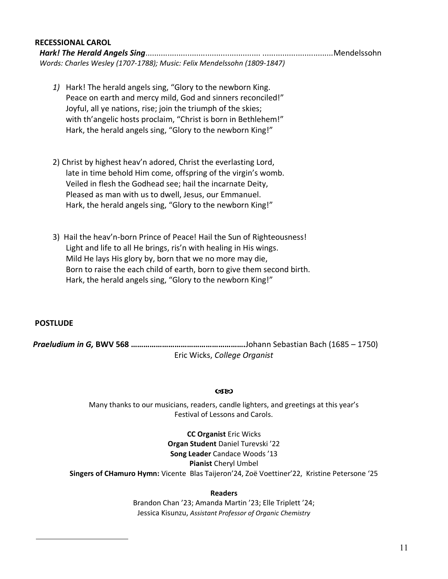#### **RECESSIONAL CAROL**

*Hark! The Herald Angels Sing*.................................................... ................................Mendelssohn *Words: Charles Wesley (1707-1788); Music: Felix Mendelssohn (1809-1847)*

- *1)* Hark! The herald angels sing, "Glory to the newborn King. Peace on earth and mercy mild, God and sinners reconciled!" Joyful, all ye nations, rise; join the triumph of the skies; with th'angelic hosts proclaim, "Christ is born in Bethlehem!" Hark, the herald angels sing, "Glory to the newborn King!"
- 2) Christ by highest heav'n adored, Christ the everlasting Lord, late in time behold Him come, offspring of the virgin's womb. Veiled in flesh the Godhead see; hail the incarnate Deity, Pleased as man with us to dwell, Jesus, our Emmanuel. Hark, the herald angels sing, "Glory to the newborn King!"
- 3) Hail the heav'n-born Prince of Peace! Hail the Sun of Righteousness! Light and life to all He brings, ris'n with healing in His wings. Mild He lays His glory by, born that we no more may die, Born to raise the each child of earth, born to give them second birth. Hark, the herald angels sing, "Glory to the newborn King!"

#### **POSTLUDE**

*Praeludium in G,* **BWV 568 ……………………………………………….**Johann Sebastian Bach (1685 – 1750) Eric Wicks, *College Organist*

#### 0380

Many thanks to our musicians, readers, candle lighters, and greetings at this year's Festival of Lessons and Carols.

> **CC Organist** Eric Wicks **Organ Student** Daniel Turevski '22 **Song Leader** Candace Woods '13 **Pianist** Cheryl Umbel

**Singers of CHamuro Hymn:** Vicente Blas Taijeron'24, Zoë Voettiner'22, Kristine Petersone '25

#### **Readers**

Brandon Chan '23; Amanda Martin '23; Elle Triplett '24; Jessica Kisunzu, *Assistant Professor of Organic Chemistry*